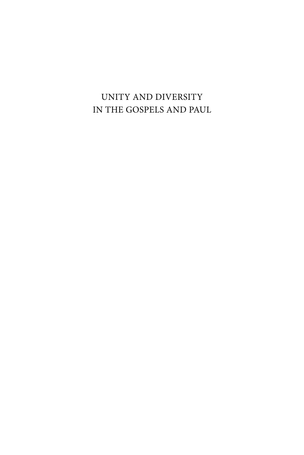UNITY AND DIVERSITY IN THE GOSPELS AND PAUL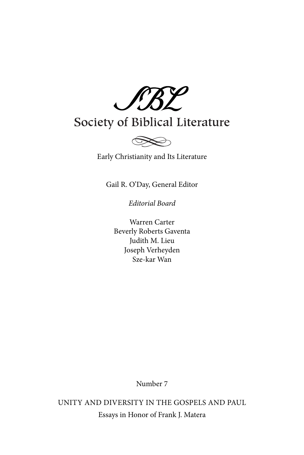SBL

# Society of Biblical Literature



Early Christianity and Its Literature

Gail R. O'Day, General Editor

*Editorial Board*

Warren Carter Beverly Roberts Gaventa Judith M. Lieu Joseph Verheyden Sze-kar Wan

Number 7

UNITY AND DIVERSITY IN THE GOSPELS AND PAUL Essays in Honor of Frank J. Matera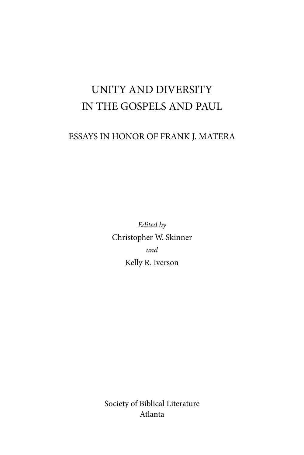# UNITY AND DIVERSITY IN THE GOSPELS AND PAUL

## ESSAYS IN HONOR OF FRANK J. MATERA

*Edited by* Christopher W. Skinner *and* Kelly R. Iverson

Society of Biblical Literature Atlanta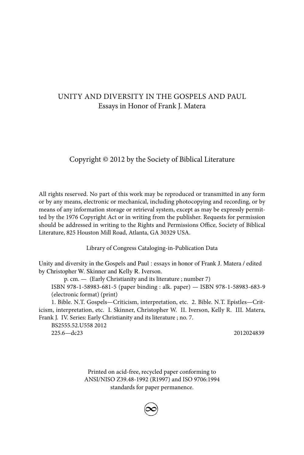### UNITY AND DIVERSITY IN THE GOSPELS AND PAUL Essays in Honor of Frank J. Matera

### Copyright © 2012 by the Society of Biblical Literature

All rights reserved. No part of this work may be reproduced or transmitted in any form or by any means, electronic or mechanical, including photocopying and recording, or by means of any information storage or retrieval system, except as may be expressly permitted by the 1976 Copyright Act or in writing from the publisher. Requests for permission should be addressed in writing to the Rights and Permissions Office, Society of Biblical Literature, 825 Houston Mill Road, Atlanta, GA 30329 USA.

Library of Congress Cataloging-in-Publication Data

Unity and diversity in the Gospels and Paul : essays in honor of Frank J. Matera / edited by Christopher W. Skinner and Kelly R. Iverson.

p. cm. — (Early Christianity and its literature ; number 7)

ISBN 978-1-58983-681-5 (paper binding : alk. paper) — ISBN 978-1-58983-683-9 (electronic format) (print)

1. Bible. N.T. Gospels—Criticism, interpretation, etc. 2. Bible. N.T. Epistles—Criticism, interpretation, etc. I. Skinner, Christopher W. II. Iverson, Kelly R. III. Matera, Frank J. IV. Series: Early Christianity and its literature ; no. 7.

BS2555.52.U558 2012 225.6—dc23 2012024839

Printed on acid-free, recycled paper conforming to ANSI/NISO Z39.48-1992 (R1997) and ISO 9706:1994 standards for paper permanence.

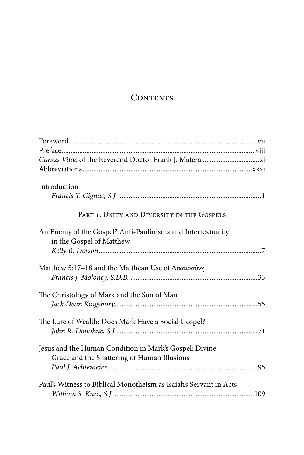## **CONTENTS**

| Introduction                                                                            |  |
|-----------------------------------------------------------------------------------------|--|
|                                                                                         |  |
| PART 1: UNITY AND DIVERSITY IN THE GOSPELS                                              |  |
| An Enemy of the Gospel? Anti-Paulinisms and Intertextuality<br>in the Gospel of Matthew |  |
|                                                                                         |  |
| Matthew 5:17-18 and the Matthean Use of Δικαιοσύνη                                      |  |
|                                                                                         |  |
|                                                                                         |  |
| The Christology of Mark and the Son of Man                                              |  |
|                                                                                         |  |
| The Lure of Wealth: Does Mark Have a Social Gospel?                                     |  |
|                                                                                         |  |
|                                                                                         |  |
| Jesus and the Human Condition in Mark's Gospel: Divine                                  |  |
| Grace and the Shattering of Human Illusions                                             |  |
|                                                                                         |  |
| Paul's Witness to Biblical Monotheism as Isaiah's Servant in Acts                       |  |
|                                                                                         |  |
|                                                                                         |  |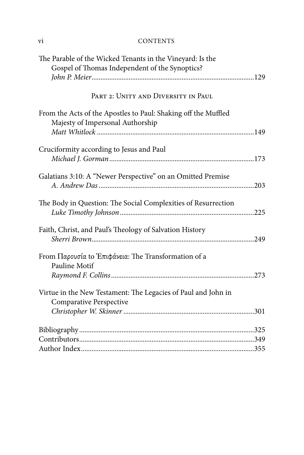## vi CONTENTS

| The Parable of the Wicked Tenants in the Vineyard: Is the                                          |  |
|----------------------------------------------------------------------------------------------------|--|
| Gospel of Thomas Independent of the Synoptics?                                                     |  |
|                                                                                                    |  |
|                                                                                                    |  |
| PART 2: UNITY AND DIVERSITY IN PAUL                                                                |  |
| From the Acts of the Apostles to Paul: Shaking off the Muffled<br>Majesty of Impersonal Authorship |  |
|                                                                                                    |  |
| Cruciformity according to Jesus and Paul                                                           |  |
|                                                                                                    |  |
| Galatians 3:10: A "Newer Perspective" on an Omitted Premise                                        |  |
|                                                                                                    |  |
| The Body in Question: The Social Complexities of Resurrection                                      |  |
|                                                                                                    |  |
| Faith, Christ, and Paul's Theology of Salvation History                                            |  |
|                                                                                                    |  |
| From Παρουσία to Έπιφάνεια: The Transformation of a                                                |  |
| Pauline Motif                                                                                      |  |
|                                                                                                    |  |
| Virtue in the New Testament: The Legacies of Paul and John in<br><b>Comparative Perspective</b>    |  |
|                                                                                                    |  |
|                                                                                                    |  |
|                                                                                                    |  |
|                                                                                                    |  |
|                                                                                                    |  |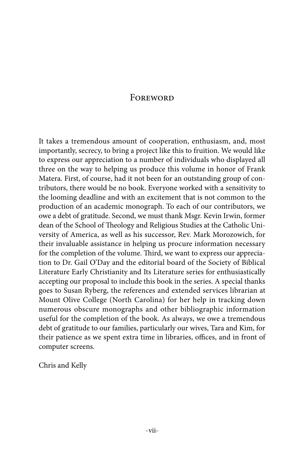## **FOREWORD**

It takes a tremendous amount of cooperation, enthusiasm, and, most importantly, secrecy, to bring a project like this to fruition. We would like to express our appreciation to a number of individuals who displayed all three on the way to helping us produce this volume in honor of Frank Matera. First, of course, had it not been for an outstanding group of contributors, there would be no book. Everyone worked with a sensitivity to the looming deadline and with an excitement that is not common to the production of an academic monograph. To each of our contributors, we owe a debt of gratitude. Second, we must thank Msgr. Kevin Irwin, former dean of the School of Theology and Religious Studies at the Catholic University of America, as well as his successor, Rev. Mark Morozowich, for their invaluable assistance in helping us procure information necessary for the completion of the volume. Third, we want to express our appreciation to Dr. Gail O'Day and the editorial board of the Society of Biblical Literature Early Christianity and Its Literature series for enthusiastically accepting our proposal to include this book in the series. A special thanks goes to Susan Ryberg, the references and extended services librarian at Mount Olive College (North Carolina) for her help in tracking down numerous obscure monographs and other bibliographic information useful for the completion of the book. As always, we owe a tremendous debt of gratitude to our families, particularly our wives, Tara and Kim, for their patience as we spent extra time in libraries, offices, and in front of computer screens.

Chris and Kelly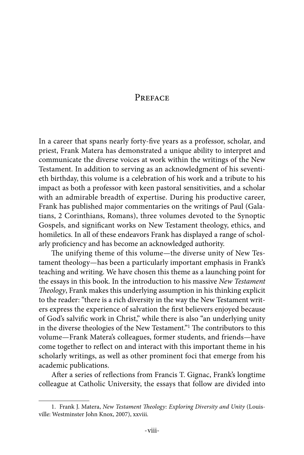## **PREFACE**

In a career that spans nearly forty-five years as a professor, scholar, and priest, Frank Matera has demonstrated a unique ability to interpret and communicate the diverse voices at work within the writings of the New Testament. In addition to serving as an acknowledgment of his seventieth birthday, this volume is a celebration of his work and a tribute to his impact as both a professor with keen pastoral sensitivities, and a scholar with an admirable breadth of expertise. During his productive career, Frank has published major commentaries on the writings of Paul (Galatians, 2 Corinthians, Romans), three volumes devoted to the Synoptic Gospels, and significant works on New Testament theology, ethics, and homiletics. In all of these endeavors Frank has displayed a range of scholarly proficiency and has become an acknowledged authority.

The unifying theme of this volume—the diverse unity of New Testament theology—has been a particularly important emphasis in Frank's teaching and writing. We have chosen this theme as a launching point for the essays in this book. In the introduction to his massive *New Testament Theology*, Frank makes this underlying assumption in his thinking explicit to the reader: "there is a rich diversity in the way the New Testament writers express the experience of salvation the first believers enjoyed because of God's salvific work in Christ," while there is also "an underlying unity in the diverse theologies of the New Testament."<sup>1</sup> The contributors to this volume—Frank Matera's colleagues, former students, and friends—have come together to reflect on and interact with this important theme in his scholarly writings, as well as other prominent foci that emerge from his academic publications.

After a series of reflections from Francis T. Gignac, Frank's longtime colleague at Catholic University, the essays that follow are divided into

<sup>1.</sup> Frank J. Matera, *New Testament Theology: Exploring Diversity and Unity* (Louisville: Westminster John Knox, 2007), xxviii.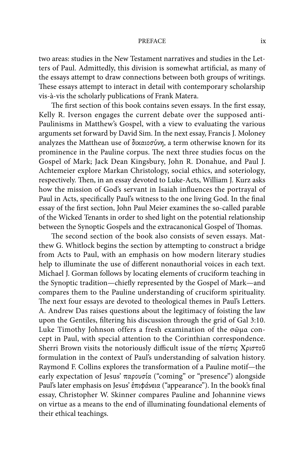#### PREFACE ix

two areas: studies in the New Testament narratives and studies in the Letters of Paul. Admittedly, this division is somewhat artificial, as many of the essays attempt to draw connections between both groups of writings. These essays attempt to interact in detail with contemporary scholarship vis-à-vis the scholarly publications of Frank Matera.

The first section of this book contains seven essays. In the first essay, Kelly R. Iverson engages the current debate over the supposed anti-Paulinisms in Matthew's Gospel, with a view to evaluating the various arguments set forward by David Sim. In the next essay, Francis J. Moloney analyzes the Matthean use of δικαιοσύνη, a term otherwise known for its prominence in the Pauline corpus. The next three studies focus on the Gospel of Mark; Jack Dean Kingsbury, John R. Donahue, and Paul J. Achtemeier explore Markan Christology, social ethics, and soteriology, respectively. Then, in an essay devoted to Luke-Acts, William J. Kurz asks how the mission of God's servant in Isaiah influences the portrayal of Paul in Acts, specifically Paul's witness to the one living God. In the final essay of the first section, John Paul Meier examines the so-called parable of the Wicked Tenants in order to shed light on the potential relationship between the Synoptic Gospels and the extracanonical Gospel of Thomas.

The second section of the book also consists of seven essays. Matthew G. Whitlock begins the section by attempting to construct a bridge from Acts to Paul, with an emphasis on how modern literary studies help to illuminate the use of different nonauthorial voices in each text. Michael J. Gorman follows by locating elements of cruciform teaching in the Synoptic tradition—chiefly represented by the Gospel of Mark—and compares them to the Pauline understanding of cruciform spirituality. The next four essays are devoted to theological themes in Paul's Letters. A. Andrew Das raises questions about the legitimacy of foisting the law upon the Gentiles, filtering his discussion through the grid of Gal 3:10. Luke Timothy Johnson offers a fresh examination of the σῶμα concept in Paul, with special attention to the Corinthian correspondence. Sherri Brown visits the notoriously difficult issue of the πίστις Χριστοῦ formulation in the context of Paul's understanding of salvation history. Raymond F. Collins explores the transformation of a Pauline motif—the early expectation of Jesus' παρουσία ("coming" or "presence") alongside Paul's later emphasis on Jesus' ἐπιφάνεια ("appearance"). In the book's final essay, Christopher W. Skinner compares Pauline and Johannine views on virtue as a means to the end of illuminating foundational elements of their ethical teachings.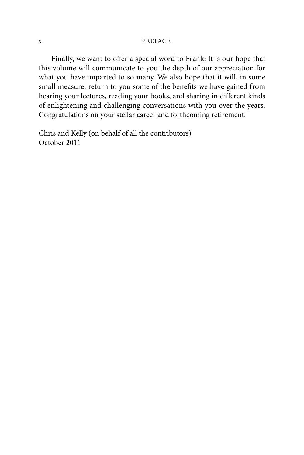#### x PREFACE

Finally, we want to offer a special word to Frank: It is our hope that this volume will communicate to you the depth of our appreciation for what you have imparted to so many. We also hope that it will, in some small measure, return to you some of the benefits we have gained from hearing your lectures, reading your books, and sharing in different kinds of enlightening and challenging conversations with you over the years. Congratulations on your stellar career and forthcoming retirement.

Chris and Kelly (on behalf of all the contributors) October 2011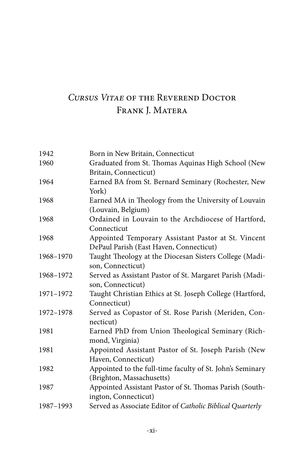## *Cursus Vitae* of the Reverend Doctor FRANK J. MATERA

| 1942      | Born in New Britain, Connecticut                          |
|-----------|-----------------------------------------------------------|
| 1960      | Graduated from St. Thomas Aquinas High School (New        |
|           | Britain, Connecticut)                                     |
| 1964      | Earned BA from St. Bernard Seminary (Rochester, New       |
|           | York)                                                     |
| 1968      | Earned MA in Theology from the University of Louvain      |
|           | (Louvain, Belgium)                                        |
| 1968      | Ordained in Louvain to the Archdiocese of Hartford,       |
|           | Connecticut                                               |
| 1968      | Appointed Temporary Assistant Pastor at St. Vincent       |
|           | DePaul Parish (East Haven, Connecticut)                   |
| 1968-1970 | Taught Theology at the Diocesan Sisters College (Madi-    |
|           | son, Connecticut)                                         |
| 1968-1972 | Served as Assistant Pastor of St. Margaret Parish (Madi-  |
|           | son, Connecticut)                                         |
| 1971-1972 | Taught Christian Ethics at St. Joseph College (Hartford,  |
|           | Connecticut)                                              |
| 1972-1978 | Served as Copastor of St. Rose Parish (Meriden, Con-      |
|           | necticut)                                                 |
| 1981      | Earned PhD from Union Theological Seminary (Rich-         |
|           | mond, Virginia)                                           |
| 1981      | Appointed Assistant Pastor of St. Joseph Parish (New      |
|           | Haven, Connecticut)                                       |
| 1982      | Appointed to the full-time faculty of St. John's Seminary |
|           | (Brighton, Massachusetts)                                 |
| 1987      | Appointed Assistant Pastor of St. Thomas Parish (South-   |
|           | ington, Connecticut)                                      |
| 1987-1993 | Served as Associate Editor of Catholic Biblical Quarterly |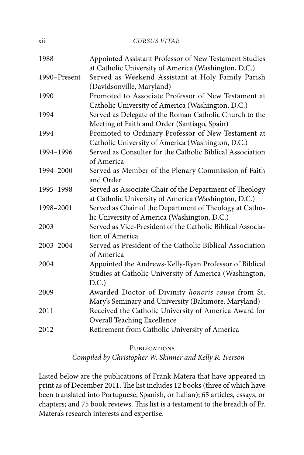| X11 | CURSUS VITAE |
|-----|--------------|
|     |              |

| 1988         | Appointed Assistant Professor of New Testament Studies<br>at Catholic University of America (Washington, D.C.)           |
|--------------|--------------------------------------------------------------------------------------------------------------------------|
| 1990-Present | Served as Weekend Assistant at Holy Family Parish<br>(Davidsonville, Maryland)                                           |
| 1990         | Promoted to Associate Professor of New Testament at<br>Catholic University of America (Washington, D.C.)                 |
| 1994         | Served as Delegate of the Roman Catholic Church to the<br>Meeting of Faith and Order (Santiago, Spain)                   |
| 1994         | Promoted to Ordinary Professor of New Testament at<br>Catholic University of America (Washington, D.C.)                  |
| 1994-1996    | Served as Consulter for the Catholic Biblical Association<br>of America                                                  |
| 1994-2000    | Served as Member of the Plenary Commission of Faith<br>and Order                                                         |
| 1995-1998    | Served as Associate Chair of the Department of Theology<br>at Catholic University of America (Washington, D.C.)          |
| 1998-2001    | Served as Chair of the Department of Theology at Catho-<br>lic University of America (Washington, D.C.)                  |
| 2003         | Served as Vice-President of the Catholic Biblical Associa-<br>tion of America                                            |
| 2003-2004    | Served as President of the Catholic Biblical Association<br>of America                                                   |
| 2004         | Appointed the Andrews-Kelly-Ryan Professor of Biblical<br>Studies at Catholic University of America (Washington,<br>D.C. |
| 2009         | Awarded Doctor of Divinity honoris causa from St.<br>Mary's Seminary and University (Baltimore, Maryland)                |
| 2011         | Received the Catholic University of America Award for<br>Overall Teaching Excellence                                     |
| 2012         | Retirement from Catholic University of America                                                                           |

#### **PUBLICATIONS**

## *Compiled by Christopher W. Skinner and Kelly R. Iverson*

Listed below are the publications of Frank Matera that have appeared in print as of December 2011. The list includes 12 books (three of which have been translated into Portuguese, Spanish, or Italian); 65 articles, essays, or chapters; and 75 book reviews. This list is a testament to the breadth of Fr. Matera's research interests and expertise.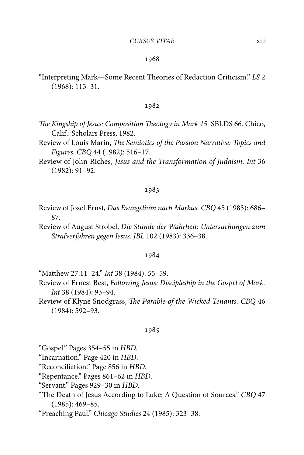"Interpreting Mark—Some Recent Theories of Redaction Criticism." *LS* 2 (1968): 113–31.

#### 1982

- *The Kingship of Jesus: Composition Theology in Mark 15. SBLDS 66. Chico,* Calif.: Scholars Press, 1982.
- Review of Louis Marin, *The Semiotics of the Passion Narrative: Topics and Figures. CBQ* 44 (1982): 516–17.
- Review of John Riches, *Jesus and the Transformation of Judaism. Int* 36 (1982): 91–92.

#### 1983

- Review of Josef Ernst, *Das Evangelium nach Markus. CBQ* 45 (1983): 686– 87.
- Review of August Strobel, *Die Stunde der Wahrheit: Untersuchungen zum Strafverfahren gegen Jesus. JBL* 102 (1983): 336–38.

#### 1984

"Matthew 27:11–24." *Int* 38 (1984): 55–59.

- Review of Ernest Best, *Following Jesus: Discipleship in the Gospel of Mark. Int* 38 (1984): 93–94.
- Review of Klyne Snodgrass, *The Parable of the Wicked Tenants.* CBQ 46 (1984): 592–93.

#### 1985

"Gospel." Pages 354–55 in *HBD*.

"Incarnation." Page 420 in *HBD*.

"Reconciliation." Page 856 in *HBD*.

"Repentance." Pages 861–62 in *HBD*.

"Servant." Pages 929–30 in *HBD*.

"The Death of Jesus According to Luke: A Question of Sources." *CBQ* 47 (1985): 469–85.

"Preaching Paul." *Chicago Studies* 24 (1985): 323–38.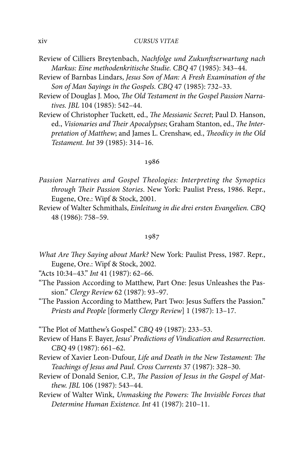- Review of Cilliers Breytenbach, *Nachfolge und Zukunftserwartung nach Markus: Eine methodenkritische Studie. CBQ* 47 (1985): 343–44.
- Review of Barnbas Lindars, *Jesus Son of Man: A Fresh Examination of the Son of Man Sayings in the Gospels. CBQ* 47 (1985): 732–33.
- Review of Douglas J. Moo, *The Old Testament in the Gospel Passion Narratives. JBL* 104 (1985): 542–44.
- Review of Christopher Tuckett, ed., *The Messianic Secret*; Paul D. Hanson, ed., Visionaries and Their Apocalypses; Graham Stanton, ed., The Inter*pretation of Matthew*; and James L. Crenshaw, ed., *Theodicy in the Old Testament. Int* 39 (1985): 314–16.

- *Passion Narratives and Gospel Theologies: Interpreting the Synoptics through Th eir Passion Stories*. New York: Paulist Press, 1986. Repr., Eugene, Ore.: Wipf & Stock, 2001.
- Review of Walter Schmithals, *Einleitung in die drei ersten Evangelien. CBQ* 48 (1986): 758–59.

#### 1987

*What Are They Saying about Mark?* New York: Paulist Press, 1987. Repr., Eugene, Ore.: Wipf & Stock, 2002.

"Acts 10:34–43." *Int* 41 (1987): 62–66.

- "The Passion According to Matthew, Part One: Jesus Unleashes the Passion." *Clergy Review* 62 (1987): 93–97.
- "The Passion According to Matthew, Part Two: Jesus Suffers the Passion." *Priests and People* [formerly *Clergy Review*] 1 (1987): 13–17.

"The Plot of Matthew's Gospel." *CBQ* 49 (1987): 233–53.

- Review of Hans F. Bayer, *Jesus' Predictions of Vindication and Resurrection*. *CBQ* 49 (1987): 661–62.
- Review of Xavier Leon-Dufour, *Life and Death in the New Testament: The Teachings of Jesus and Paul. Cross Currents* 37 (1987): 328–30.
- Review of Donald Senior, C.P., *The Passion of Jesus in the Gospel of Matthew. JBL* 106 (1987): 543–44.
- Review of Walter Wink, *Unmasking the Powers: The Invisible Forces that Determine Human Existence. Int* 41 (1987): 210–11.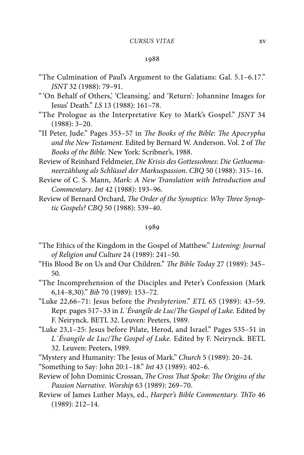- "The Culmination of Paul's Argument to the Galatians: Gal. 5.1–6.17." *JSNT* 32 (1988): 79–91.
- " 'On Behalf of Others,' 'Cleansing,' and 'Return': Johannine Images for Jesus' Death." *LS* 13 (1988): 161–78.
- "The Prologue as the Interpretative Key to Mark's Gospel." *JSNT* 34 (1988): 3–20.
- "II Peter, Jude." Pages 353–57 in *The Books of the Bible: The Apocrypha* and the New Testament. Edited by Bernard W. Anderson. Vol. 2 of *The Books of the Bible*. New York: Scribner's, 1988.
- Review of Reinhard Feldmeier, *Die Krisis des Gottessohnes: Die Gethsemaneerzählung als Schlüssel der Markuspassion*. *CBQ* 50 (1988): 315–16.
- Review of C. S. Mann, *Mark: A New Translation with Introduction and Commentary*. *Int* 42 (1988): 193–96.
- Review of Bernard Orchard, *The Order of the Synoptics: Why Three Synoptic Gospels? CBQ* 50 (1988): 539–40.

- "The Ethics of the Kingdom in the Gospel of Matthew." *Listening: Journal of Religion and Culture* 24 (1989): 241–50.
- "His Blood Be on Us and Our Children." *The Bible Today* 27 (1989): 345-50.
- "The Incomprehension of the Disciples and Peter's Confession (Mark 6,14–8,30)." *Bib* 70 (1989): 153–72.
- "Luke 22,66–71: Jesus before the *Presbyterion*." *ETL* 65 (1989): 43–59. Repr. pages 517–33 in *L'Évangile de Luc/The Gospel of Luke*. Edited by F. Neirynck. BETL 32. Leuven: Peeters, 1989.
- "Luke 23,1–25: Jesus before Pilate, Herod, and Israel." Pages 535–51 in L'Évangile de Luc/*The Gospel of Luke*. Edited by F. Neirynck. BETL 32. Leuven: Peeters, 1989.
- "Mystery and Humanity: The Jesus of Mark." *Church* 5 (1989): 20–24.
- "Something to Say: John 20:1–18." *Int* 43 (1989): 402–6.
- Review of John Dominic Crossan, *The Cross That Spoke: The Origins of the Passion Narrative. Worship* 63 (1989): 269–70.
- Review of James Luther Mays, ed., *Harper's Bible Commentary. Th To* 46 (1989): 212–14.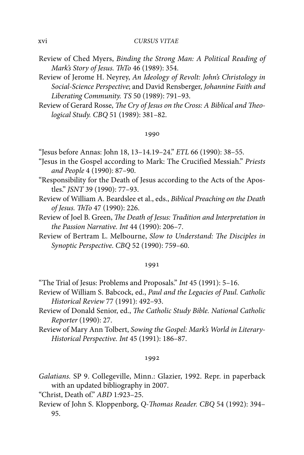- Review of Ched Myers, *Binding the Strong Man: A Political Reading of Mark's Story of Jesus. Th To* 46 (1989): 354.
- Review of Jerome H. Neyrey, *An Ideology of Revolt: John's Christology in Social-Science Perspective*; and David Rensberger, *Johannine Faith and Liberating Community. TS* 50 (1989): 791–93.
- Review of Gerard Rosse, *The Cry of Jesus on the Cross: A Biblical and Theological Study. CBQ* 51 (1989): 381–82.

"Jesus before Annas: John 18, 13–14.19–24." *ETL* 66 (1990): 38–55.

- "Jesus in the Gospel according to Mark: The Crucified Messiah." *Priests and People* 4 (1990): 87–90.
- "Responsibility for the Death of Jesus according to the Acts of the Apostles." *JSNT* 39 (1990): 77–93.
- Review of William A. Beardslee et al., eds., *Biblical Preaching on the Death of Jesus. Th To* 47 (1990): 226.
- Review of Joel B. Green, *The Death of Jesus: Tradition and Interpretation in the Passion Narrative. Int* 44 (1990): 206–7.
- Review of Bertram L. Melbourne, *Slow to Understand: The Disciples in Synoptic Perspective*. *CBQ* 52 (1990): 759–60.

#### 1991

"The Trial of Jesus: Problems and Proposals." *Int* 45 (1991): 5–16.

- Review of William S. Babcock, ed., *Paul and the Legacies of Paul. Catholic Historical Review* 77 (1991): 492–93.
- Review of Donald Senior, ed., *The Catholic Study Bible. National Catholic Reporter* (1990): 27.
- Review of Mary Ann Tolbert, *Sowing the Gospel: Mark's World in Literary-Historical Perspective. Int* 45 (1991): 186–87.

- *Galatians.* SP 9. Collegeville, Minn.: Glazier, 1992. Repr. in paperback with an updated bibliography in 2007.
- "Christ, Death of." *ABD* 1:923–25.
- Review of John S. Kloppenborg, *Q-Thomas Reader. CBQ* 54 (1992): 394-95.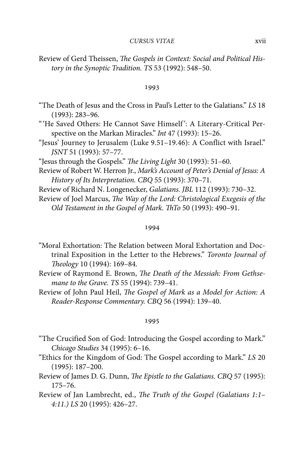#### *CURSUS VITAE* xvii

Review of Gerd Theissen, *The Gospels in Context: Social and Political History in the Synoptic Tradition. TS* 53 (1992): 548–50.

#### 1993

- "The Death of Jesus and the Cross in Paul's Letter to the Galatians." *LS* 18 (1993): 283–96.
- "'He Saved Others: He Cannot Save Himself': A Literary-Critical Perspective on the Markan Miracles." *Int* 47 (1993): 15–26.
- "Jesus' Journey to Jerusalem (Luke 9.51–19.46): A Conflict with Israel." *JSNT* 51 (1993): 57–77.
- "Jesus through the Gospels." *The Living Light* 30 (1993): 51-60.
- Review of Robert W. Herron Jr., *Mark's Account of Peter's Denial of Jesus: A History of Its Interpretation. CBQ* 55 (1993): 370–71.
- Review of Richard N. Longenecker, *Galatians. JBL* 112 (1993): 730–32.
- Review of Joel Marcus, *The Way of the Lord: Christological Exegesis of the Old Testament in the Gospel of Mark. Th To* 50 (1993): 490–91.

#### 1994

- "Moral Exhortation: The Relation between Moral Exhortation and Doctrinal Exposition in the Letter to the Hebrews." *Toronto Journal of Th eology* 10 (1994): 169–84.
- Review of Raymond E. Brown, *The Death of the Messiah: From Gethsemane to the Grave. TS* 55 (1994): 739–41.
- Review of John Paul Heil, *The Gospel of Mark as a Model for Action: A Reader-Response Commentary. CBQ* 56 (1994): 139–40.

- "The Crucified Son of God: Introducing the Gospel according to Mark." *Chicago Studies* 34 (1995): 6–16.
- "Ethics for the Kingdom of God: The Gospel according to Mark." *LS* 20 (1995): 187–200.
- Review of James D. G. Dunn, *The Epistle to the Galatians*. *CBQ* 57 (1995): 175–76.
- Review of Jan Lambrecht, ed., *The Truth of the Gospel (Galatians 1:1-4:11.) LS* 20 (1995): 426–27.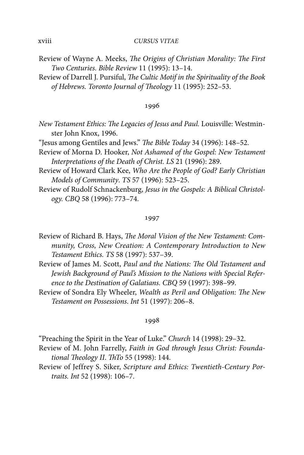#### xviii *CURSUS VITAE*

- Review of Wayne A. Meeks, *The Origins of Christian Morality: The First Two Centuries. Bible Review* 11 (1995): 13–14.
- Review of Darrell J. Pursiful, *The Cultic Motif in the Spirituality of the Book of Hebrews. Toronto Journal of Th eology* 11 (1995): 252–53.

#### 1996

- *New Testament Ethics: The Legacies of Jesus and Paul. Louisville: Westmin*ster John Knox, 1996.
- "Jesus among Gentiles and Jews." *The Bible Today* 34 (1996): 148–52.
- Review of Morna D. Hooker, *Not Ashamed of the Gospel: New Testament Interpretations of the Death of Christ. LS* 21 (1996): 289.
- Review of Howard Clark Kee, *Who Are the People of God? Early Christian Models of Community*. *TS* 57 (1996): 523–25.
- Review of Rudolf Schnackenburg, *Jesus in the Gospels: A Biblical Christology. CBQ* 58 (1996): 773–74.

#### 1997

- Review of Richard B. Hays, *The Moral Vision of the New Testament: Community, Cross, New Creation: A Contemporary Introduction to New Testament Ethics. TS* 58 (1997): 537–39.
- Review of James M. Scott, *Paul and the Nations: The Old Testament and Jewish Background of Paul's Mission to the Nations with Special Reference to the Destination of Galatians. CBQ* 59 (1997): 398–99.
- Review of Sondra Ely Wheeler, *Wealth as Peril and Obligation: The New Testament on Possessions*. *Int* 51 (1997): 206–8.

#### 1998

"Preaching the Spirit in the Year of Luke." *Church* 14 (1998): 29–32.

- Review of M. John Farrelly, *Faith in God through Jesus Christ: Foundational Th eology II*. *Th To* 55 (1998): 144.
- Review of Jeffrey S. Siker, *Scripture and Ethics: Twentieth-Century Portraits. Int* 52 (1998): 106–7.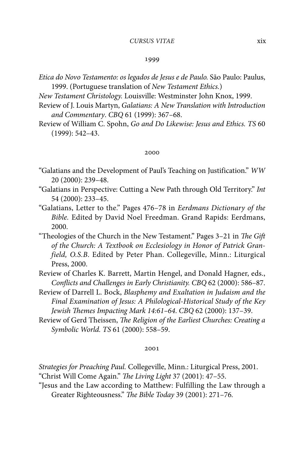- *Etica do Novo Testamento: os legados de Jesus e de Paulo. São Paulo: Paulus,* 1999. (Portuguese translation of *New Testament Ethics.*)
- *New Testament Christology.* Louisville: Westminster John Knox, 1999.
- Review of J. Louis Martyn, *Galatians: A New Translation with Introduction and Commentary*. *CBQ* 61 (1999): 367–68.
- Review of William C. Spohn, *Go and Do Likewise: Jesus and Ethics. TS* 60 (1999): 542–43.

#### 2000

- "Galatians and the Development of Paul's Teaching on Justification." *WW* 20 (2000): 239–48.
- "Galatians in Perspective: Cutting a New Path through Old Territory." *Int*  54 (2000): 233–45.
- "Galatians, Letter to the." Pages 476–78 in *Eerdmans Dictionary of the Bible.* Edited by David Noel Freedman. Grand Rapids: Eerdmans, 2000.
- "Theologies of the Church in the New Testament." Pages 3-21 in *The Gift of the Church: A Textbook on Ecclesiology in Honor of Patrick Granfield, O.S.B*. Edited by Peter Phan. Collegeville, Minn.: Liturgical Press, 2000.
- Review of Charles K. Barrett, Martin Hengel, and Donald Hagner, eds., *Confl icts and Challenges in Early Christianity. CBQ* 62 (2000): 586–87.
- Review of Darrell L. Bock, *Blasphemy and Exaltation in Judaism and the Final Examination of Jesus: A Philological-Historical Study of the Key Jewish Themes Impacting Mark 14:61–64. CBQ 62 (2000): 137–39.*
- Review of Gerd Theissen, *The Religion of the Earliest Churches: Creating a Symbolic World. TS* 61 (2000): 558–59.

#### 2001

*Strategies for Preaching Paul.* Collegeville, Minn.: Liturgical Press, 2001. "Christ Will Come Again." *The Living Light* 37 (2001): 47-55.

"Jesus and the Law according to Matthew: Fulfilling the Law through a Greater Righteousness." *The Bible Today* 39 (2001): 271-76.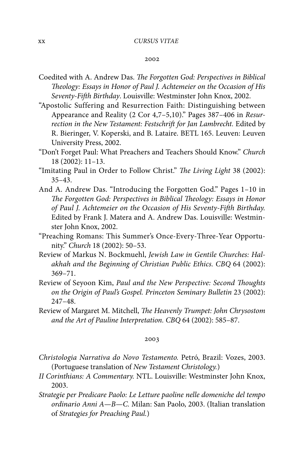- Coedited with A. Andrew Das. The Forgotten God: Perspectives in Biblical *Th eology: Essays in Honor of Paul J. Achtemeier on the Occasion of His*  Seventy-Fifth Birthday. Louisville: Westminster John Knox, 2002.
- "Apostolic Suffering and Resurrection Faith: Distinguishing between Appearance and Reality (2 Cor 4,7–5,10)." Pages 387–406 in *Resurrection in the New Testament: Festschrift for Jan Lambrecht.* Edited by R. Bieringer, V. Koperski, and B. Lataire. BETL 165. Leuven: Leuven University Press, 2002.
- "Don't Forget Paul: What Preachers and Teachers Should Know." *Church* 18 (2002): 11–13.
- "Imitating Paul in Order to Follow Christ." *The Living Light* 38 (2002): 35–43.
- And A. Andrew Das. "Introducing the Forgotten God." Pages 1–10 in The Forgotten God: Perspectives in Biblical Theology: Essays in Honor of Paul J. Achtemeier on the Occasion of His Seventy-Fifth Birthday. Edited by Frank J. Matera and A. Andrew Das. Louisville: Westminster John Knox, 2002.
- "Preaching Romans: This Summer's Once-Every-Three-Year Opportunity." *Church* 18 (2002): 50–53.
- Review of Markus N. Bockmuehl, *Jewish Law in Gentile Churches: Halakhah and the Beginning of Christian Public Ethics. CBQ* 64 (2002): 369–71.
- Review of Seyoon Kim, *Paul and the New Perspective: Second Thoughts on the Origin of Paul's Gospel. Princeton Seminary Bulletin* 23 (2002): 247–48.
- Review of Margaret M. Mitchell, *The Heavenly Trumpet: John Chrysostom and the Art of Pauline Interpretation. CBQ* 64 (2002): 585–87.

- *Christologia Narrativa do Novo Testamento.* Petró, Brazil: Vozes, 2003. (Portuguese translation of *New Testament Christology.*)
- *II Corinthians: A Commentary.* NTL. Louisville: Westminster John Knox, 2003.
- *Strategie per Predicare Paolo: Le Letture paoline nelle domeniche del tempo ordinario Anni A—B—C.* Milan: San Paolo, 2003. (Italian translation of *Strategies for Preaching Paul.*)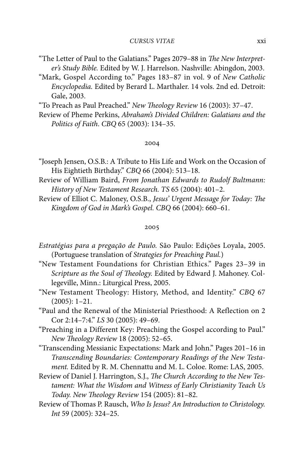#### *CURSUS VITAE* xxi

- "The Letter of Paul to the Galatians." Pages 2079-88 in *The New Interpreter's Study Bible.* Edited by W. J. Harrelson. Nashville: Abingdon, 2003.
- "Mark, Gospel According to." Pages 183–87 in vol. 9 of *New Catholic Encyclopedia.* Edited by Berard L. Marthaler. 14 vols. 2nd ed. Detroit: Gale, 2003.

"To Preach as Paul Preached." *New Th eology Review* 16 (2003): 37–47.

Review of Pheme Perkins, *Abraham's Divided Children: Galatians and the Politics of Faith*. *CBQ* 65 (2003): 134–35.

#### 2004

- "Joseph Jensen, O.S.B.: A Tribute to His Life and Work on the Occasion of His Eightieth Birthday." *CBQ* 66 (2004): 513–18.
- Review of William Baird, *From Jonathan Edwards to Rudolf Bultmann: History of New Testament Research. TS* 65 (2004): 401–2.
- Review of Elliot C. Maloney, O.S.B., *Jesus' Urgent Message for Today: The Kingdom of God in Mark's Gospel. CBQ* 66 (2004): 660–61.

- *Estratégias para a pregação de Paulo.* São Paulo: Edições Loyala, 2005. (Portuguese translation of *Strategies for Preaching Paul.*)
- "New Testament Foundations for Christian Ethics." Pages 23–39 in Scripture as the Soul of Theology. Edited by Edward J. Mahoney. Collegeville, Minn.: Liturgical Press, 2005.
- "New Testament Theology: History, Method, and Identity." *CBQ* 67 (2005): 1–21.
- "Paul and the Renewal of the Ministerial Priesthood: A Reflection on 2 Cor 2:14–7:4." *LS* 30 (2005): 49–69.
- "Preaching in a Different Key: Preaching the Gospel according to Paul." *New Th eology Review* 18 (2005): 52–65.
- "Transcending Messianic Expectations: Mark and John." Pages 201–16 in *Transcending Boundaries: Contemporary Readings of the New Testament.* Edited by R. M. Chennattu and M. L. Coloe. Rome: LAS, 2005.
- Review of Daniel J. Harrington, S.J., *The Church According to the New Testament: What the Wisdom and Witness of Early Christianity Teach Us Today. New Th eology Review* 154 (2005): 81–82.
- Review of Thomas P. Rausch, *Who Is Jesus? An Introduction to Christology. Int* 59 (2005): 324–25.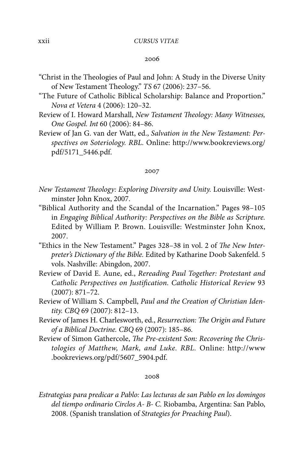- "Christ in the Theologies of Paul and John: A Study in the Diverse Unity of New Testament Theology." *TS* 67 (2006): 237–56.
- "The Future of Catholic Biblical Scholarship: Balance and Proportion." *Nova et Vetera* 4 (2006): 120–32.
- Review of I. Howard Marshall, *New Testament Th eology: Many Witnesses, One Gospel. Int* 60 (2006): 84–86.
- Review of Jan G. van der Watt, ed., *Salvation in the New Testament: Perspectives on Soteriology. RBL.* Online: http://www.bookreviews.org/ pdf/5171\_5446.pdf.

#### 2007

- *New Testament Theology: Exploring Diversity and Unity. Louisville: West*minster John Knox, 2007.
- "Biblical Authority and the Scandal of the Incarnation." Pages 98–105 in *Engaging Biblical Authority: Perspectives on the Bible as Scripture.*  Edited by William P. Brown. Louisville: Westminster John Knox, 2007.
- "Ethics in the New Testament." Pages 328-38 in vol. 2 of *The New Interpreter's Dictionary of the Bible.* Edited by Katharine Doob Sakenfeld. 5 vols. Nashville: Abingdon, 2007.
- Review of David E. Aune, ed., *Rereading Paul Together: Protestant and Catholic Perspectives on Justifi cation. Catholic Historical Review* 93 (2007): 871–72.
- Review of William S. Campbell, *Paul and the Creation of Christian Identity. CBQ* 69 (2007): 812–13.
- Review of James H. Charlesworth, ed., *Resurrection: The Origin and Future of a Biblical Doctrine. CBQ* 69 (2007): 185–86.
- Review of Simon Gathercole, *The Pre-existent Son: Recovering the Christologies of Matthew, Mark, and Luke. RBL.* Online: http://www .bookreviews.org/pdf/5607\_5904.pdf.

#### 2008

*Estrategias para predicar a Pablo: Las lecturas de san Pablo en los domingos del tiempo ordinario Circlos A- B- C.* Riobamba, Argentina: San Pablo, 2008. (Spanish translation of *Strategies for Preaching Paul*).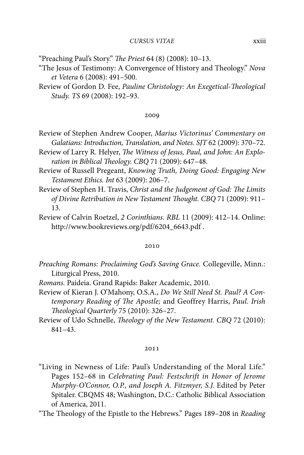"Preaching Paul's Story." *The Priest* 64 (8) (2008): 10-13.

- "The Jesus of Testimony: A Convergence of History and Theology." *Nova et Vetera* 6 (2008): 491–500.
- Review of Gordon D. Fee, *Pauline Christology: An Exegetical-Theological Study. TS* 69 (2008): 192–93.

#### 2009

- Review of Stephen Andrew Cooper, *Marius Victorinus' Commentary on Galatians: Introduction, Translation, and Notes. SJT* 62 (2009): 370–72.
- Review of Larry R. Helyer, *The Witness of Jesus, Paul, and John: An Exploration in Biblical Th eology. CBQ* 71 (2009): 647–48.
- Review of Russell Pregeant, *Knowing Truth, Doing Good: Engaging New Testament Ethics. Int* 63 (2009): 206–7.
- Review of Stephen H. Travis, *Christ and the Judgement of God: The Limits of Divine Retribution in New Testament Th ought. CBQ* 71 (2009): 911– 13.
- Review of Calvin Roetzel, *2 Corinthians. RBL* 11 (2009): 412–14. Online: http://www.bookreviews.org/pdf/6204\_6643.pdf .

#### 2010

*Preaching Romans: Proclaiming God's Saving Grace.* Collegeville, Minn.: Liturgical Press, 2010.

*Romans.* Paideia. Grand Rapids: Baker Academic, 2010.

Review of Kieran J. O'Mahony, O.S.A., *Do We Still Need St. Paul? A Contemporary Reading of The Apostle; and Geoffrey Harris, Paul. Irish Th eological Quarterly* 75 (2010): 326–27.

Review of Udo Schnelle, *Theology of the New Testament. CBQ* 72 (2010): 841–43.

#### 2011

"Living in Newness of Life: Paul's Understanding of the Moral Life." Pages 152–68 in *Celebrating Paul: Festschrift in Honor of Jerome Murphy-O'Connor, O.P., and Joseph A. Fitzmyer, S.J.* Edited by Peter Spitaler. CBQMS 48; Washington, D.C.: Catholic Biblical Association of America, 2011.

"The Theology of the Epistle to the Hebrews." Pages 189–208 in *Reading*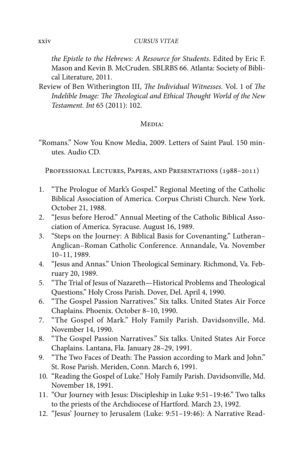*the Epistle to the Hebrews: A Resource for Students.* Edited by Eric F. Mason and Kevin B. McCruden. SBLRBS 66. Atlanta: Society of Biblical Literature, 2011.

Review of Ben Witherington III, *The Individual Witnesses*. Vol. 1 of *The Indelible Image: The Theological and Ethical Thought World of the New Testament. Int* 65 (2011): 102.

### MEDIA:

"Romans." Now You Know Media, 2009. Letters of Saint Paul. 150 minutes. Audio CD.

Professional Lectures, Papers, and Presentations (1988–2011)

- 1. "The Prologue of Mark's Gospel." Regional Meeting of the Catholic Biblical Association of America. Corpus Christi Church. New York. October 21, 1988.
- 2. "Jesus before Herod." Annual Meeting of the Catholic Biblical Association of America. Syracuse. August 16, 1989.
- 3. "Steps on the Journey: A Biblical Basis for Covenanting." Lutheran– Anglican–Roman Catholic Conference. Annandale, Va. November 10–11, 1989.
- 4. "Jesus and Annas." Union Theological Seminary. Richmond, Va. February 20, 1989.
- 5. "The Trial of Jesus of Nazareth—Historical Problems and Theological Questions." Holy Cross Parish. Dover, Del. April 4, 1990.
- 6. "The Gospel Passion Narratives." Six talks. United States Air Force Chaplains. Phoenix. October 8–10, 1990.
- 7. "The Gospel of Mark." Holy Family Parish. Davidsonville, Md. November 14, 1990.
- 8. "The Gospel Passion Narratives." Six talks. United States Air Force Chaplains. Lantana, Fla. January 28–29, 1991.
- 9. "The Two Faces of Death: The Passion according to Mark and John." St. Rose Parish. Meriden, Conn. March 6, 1991.
- 10. "Reading the Gospel of Luke." Holy Family Parish. Davidsonville, Md. November 18, 1991.
- 11. "Our Journey with Jesus: Discipleship in Luke 9:51–19:46." Two talks to the priests of the Archdiocese of Hartford. March 23, 1992.
- 12. "Jesus' Journey to Jerusalem (Luke: 9:51–19:46): A Narrative Read-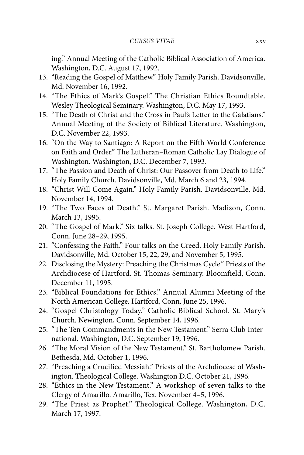ing." Annual Meeting of the Catholic Biblical Association of America. Washington, D.C. August 17, 1992.

- 13. "Reading the Gospel of Matthew." Holy Family Parish. Davidsonville, Md. November 16, 1992.
- 14. "The Ethics of Mark's Gospel." The Christian Ethics Roundtable. Wesley Theological Seminary. Washington, D.C. May 17, 1993.
- 15. "The Death of Christ and the Cross in Paul's Letter to the Galatians." Annual Meeting of the Society of Biblical Literature. Washington, D.C. November 22, 1993.
- 16. "On the Way to Santiago: A Report on the Fifth World Conference on Faith and Order." The Lutheran–Roman Catholic Lay Dialogue of Washington. Washington, D.C. December 7, 1993.
- 17. "The Passion and Death of Christ: Our Passover from Death to Life." Holy Family Church. Davidsonville, Md. March 6 and 23, 1994.
- 18. "Christ Will Come Again." Holy Family Parish. Davidsonville, Md. November 14, 1994.
- 19. "The Two Faces of Death." St. Margaret Parish. Madison, Conn. March 13, 1995.
- 20. "The Gospel of Mark." Six talks. St. Joseph College. West Hartford, Conn. June 28–29, 1995.
- 21. "Confessing the Faith." Four talks on the Creed. Holy Family Parish. Davidsonville, Md. October 15, 22, 29, and November 5, 1995.
- 22. Disclosing the Mystery: Preaching the Christmas Cycle." Priests of the Archdiocese of Hartford. St. Thomas Seminary. Bloomfield, Conn. December 11, 1995.
- 23. "Biblical Foundations for Ethics." Annual Alumni Meeting of the North American College. Hartford, Conn. June 25, 1996.
- 24. "Gospel Christology Today." Catholic Biblical School. St. Mary's Church. Newington, Conn. September 14, 1996.
- 25. "The Ten Commandments in the New Testament." Serra Club International. Washington, D.C. September 19, 1996.
- 26. "The Moral Vision of the New Testament." St. Bartholomew Parish. Bethesda, Md. October 1, 1996.
- 27. "Preaching a Crucified Messiah." Priests of the Archdiocese of Washington. Theological College. Washington D.C. October 21, 1996.
- 28. "Ethics in the New Testament." A workshop of seven talks to the Clergy of Amarillo. Amarillo, Tex. November 4–5, 1996.
- 29. "The Priest as Prophet." Theological College. Washington, D.C. March 17, 1997.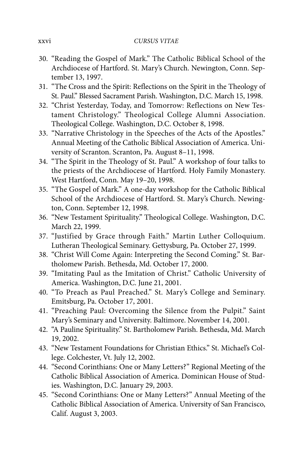- 30. "Reading the Gospel of Mark." The Catholic Biblical School of the Archdiocese of Hartford. St. Mary's Church. Newington, Conn. September 13, 1997.
- 31. "The Cross and the Spirit: Reflections on the Spirit in the Theology of St. Paul." Blessed Sacrament Parish. Washington, D.C. March 15, 1998.
- 32. "Christ Yesterday, Today, and Tomorrow: Reflections on New Testament Christology." Theological College Alumni Association. Theological College. Washington, D.C. October 8, 1998.
- 33. "Narrative Christology in the Speeches of the Acts of the Apostles." Annual Meeting of the Catholic Biblical Association of America. University of Scranton. Scranton, Pa. August 8–11, 1998.
- 34. "The Spirit in the Theology of St. Paul." A workshop of four talks to the priests of the Archdiocese of Hartford. Holy Family Monastery. West Hartford, Conn. May 19–20, 1998.
- 35. "The Gospel of Mark." A one-day workshop for the Catholic Biblical School of the Archdiocese of Hartford. St. Mary's Church. Newington, Conn. September 12, 1998.
- 36. "New Testament Spirituality." Theological College. Washington, D.C. March 22, 1999.
- 37. "Justified by Grace through Faith." Martin Luther Colloquium. Lutheran Theological Seminary. Gettysburg, Pa. October 27, 1999.
- 38. "Christ Will Come Again: Interpreting the Second Coming." St. Bartholomew Parish. Bethesda, Md. October 17, 2000.
- 39. "Imitating Paul as the Imitation of Christ." Catholic University of America. Washington, D.C. June 21, 2001.
- 40. "To Preach as Paul Preached." St. Mary's College and Seminary. Emitsburg, Pa. October 17, 2001.
- 41. "Preaching Paul: Overcoming the Silence from the Pulpit." Saint Mary's Seminary and University. Baltimore. November 14, 2001.
- 42. "A Pauline Spirituality." St. Bartholomew Parish. Bethesda, Md. March 19, 2002.
- 43. "New Testament Foundations for Christian Ethics." St. Michael's College. Colchester, Vt. July 12, 2002.
- 44. "Second Corinthians: One or Many Letters?" Regional Meeting of the Catholic Biblical Association of America. Dominican House of Studies. Washington, D.C. January 29, 2003.
- 45. "Second Corinthians: One or Many Letters?" Annual Meeting of the Catholic Biblical Association of America. University of San Francisco, Calif. August 3, 2003.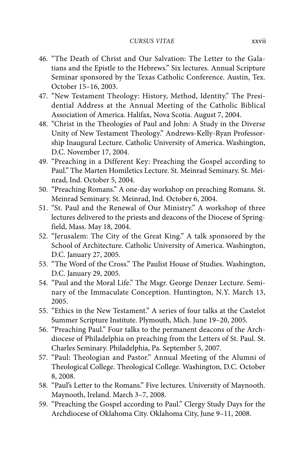- 46. "The Death of Christ and Our Salvation: The Letter to the Galatians and the Epistle to the Hebrews." Six lectures. Annual Scripture Seminar sponsored by the Texas Catholic Conference. Austin, Tex. October 15–16, 2003.
- 47. "New Testament Theology: History, Method, Identity." The Presidential Address at the Annual Meeting of the Catholic Biblical Association of America. Halifax, Nova Scotia. August 7, 2004.
- 48. "Christ in the Theologies of Paul and John: A Study in the Diverse Unity of New Testament Theology." Andrews-Kelly-Ryan Professorship Inaugural Lecture. Catholic University of America. Washington, D.C. November 17, 2004.
- 49. "Preaching in a Different Key: Preaching the Gospel according to Paul." The Marten Homiletics Lecture. St. Meinrad Seminary. St. Meinrad, Ind. October 5, 2004.
- 50. "Preaching Romans." A one-day workshop on preaching Romans. St. Meinrad Seminary. St. Meinrad, Ind. October 6, 2004.
- 51. "St. Paul and the Renewal of Our Ministry." A workshop of three lectures delivered to the priests and deacons of the Diocese of Springfield, Mass. May 18, 2004.
- 52. "Jerusalem: The City of the Great King." A talk sponsored by the School of Architecture. Catholic University of America. Washington, D.C. January 27, 2005.
- 53. "The Word of the Cross." The Paulist House of Studies. Washington, D.C. January 29, 2005.
- 54. "Paul and the Moral Life." The Msgr. George Denzer Lecture. Seminary of the Immaculate Conception. Huntington, N.Y. March 13, 2005.
- 55. "Ethics in the New Testament." A series of four talks at the Castelot Summer Scripture Institute. Plymouth, Mich. June 19–20, 2005.
- 56. "Preaching Paul." Four talks to the permanent deacons of the Archdiocese of Philadelphia on preaching from the Letters of St. Paul. St. Charles Seminary. Philadelphia, Pa. September 5, 2007.
- 57. "Paul: Theologian and Pastor." Annual Meeting of the Alumni of Theological College. Theological College. Washington, D.C. October 8, 2008.
- 58. "Paul's Letter to the Romans." Five lectures. University of Maynooth. Maynooth, Ireland. March 3–7, 2008.
- 59. "Preaching the Gospel according to Paul." Clergy Study Days for the Archdiocese of Oklahoma City. Oklahoma City, June 9–11, 2008.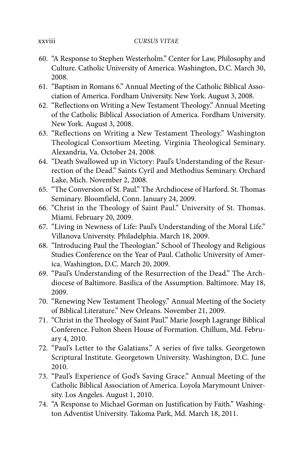- 60. "A Response to Stephen Westerholm." Center for Law, Philosophy and Culture. Catholic University of America. Washington, D.C. March 30, 2008.
- 61. "Baptism in Romans 6." Annual Meeting of the Catholic Biblical Association of America. Fordham University. New York. August 3, 2008.
- 62. "Reflections on Writing a New Testament Theology." Annual Meeting of the Catholic Biblical Association of America. Fordham University. New York. August 3, 2008.
- 63. "Reflections on Writing a New Testament Theology." Washington Theological Consortium Meeting. Virginia Theological Seminary. Alexandria, Va. October 24, 2008.
- 64. "Death Swallowed up in Victory: Paul's Understanding of the Resurrection of the Dead." Saints Cyril and Methodius Seminary. Orchard Lake, Mich. November 2, 2008.
- 65. "The Conversion of St. Paul." The Archdiocese of Harford. St. Thomas Seminary. Bloomfield, Conn. January 24, 2009.
- 66. "Christ in the Theology of Saint Paul." University of St. Thomas. Miami. February 20, 2009.
- 67. "Living in Newness of Life: Paul's Understanding of the Moral Life." Villanova University. Philadelphia. March 18, 2009.
- 68. "Introducing Paul the Theologian." School of Theology and Religious Studies Conference on the Year of Paul. Catholic University of America. Washington, D.C. March 20, 2009.
- 69. "Paul's Understanding of the Resurrection of the Dead." The Archdiocese of Baltimore. Basilica of the Assumption. Baltimore. May 18, 2009.
- 70. "Renewing New Testament Theology." Annual Meeting of the Society of Biblical Literature." New Orleans. November 21, 2009.
- 71. "Christ in the Theology of Saint Paul." Marie Joseph Lagrange Biblical Conference. Fulton Sheen House of Formation. Chillum, Md. February 4, 2010.
- 72. "Paul's Letter to the Galatians." A series of five talks. Georgetown Scriptural Institute. Georgetown University. Washington, D.C. June 2010.
- 73. "Paul's Experience of God's Saving Grace." Annual Meeting of the Catholic Biblical Association of America. Loyola Marymount University. Los Angeles. August 1, 2010.
- 74. "A Response to Michael Gorman on Justification by Faith." Washington Adventist University. Takoma Park, Md. March 18, 2011.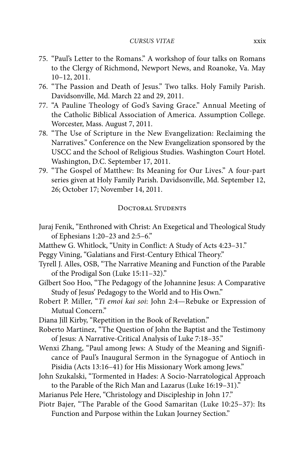- 75. "Paul's Letter to the Romans." A workshop of four talks on Romans to the Clergy of Richmond, Newport News, and Roanoke, Va. May 10–12, 2011.
- 76. "The Passion and Death of Jesus." Two talks. Holy Family Parish. Davidsonville, Md. March 22 and 29, 2011.
- 77. "A Pauline Theology of God's Saving Grace." Annual Meeting of the Catholic Biblical Association of America. Assumption College. Worcester, Mass. August 7, 2011.
- 78. "The Use of Scripture in the New Evangelization: Reclaiming the Narratives." Conference on the New Evangelization sponsored by the USCC and the School of Religious Studies. Washington Court Hotel. Washington, D.C. September 17, 2011.
- 79. "The Gospel of Matthew: Its Meaning for Our Lives." A four-part series given at Holy Family Parish. Davidsonville, Md. September 12, 26; October 17; November 14, 2011.

#### DOCTORAL STUDENTS

- Juraj Fenik, "Enthroned with Christ: An Exegetical and Theological Study of Ephesians 1:20–23 and 2:5–6."
- Matthew G. Whitlock, "Unity in Conflict: A Study of Acts 4:23–31."
- Peggy Vining, "Galatians and First-Century Ethical Theory."
- Tyrell J. Alles, OSB, "The Narrative Meaning and Function of the Parable of the Prodigal Son (Luke 15:11–32)."
- Gilbert Soo Hoo, "The Pedagogy of the Johannine Jesus: A Comparative Study of Jesus' Pedagogy to the World and to His Own."
- Robert P. Miller, "*Ti emoi kai soi*: John 2:4—Rebuke or Expression of Mutual Concern."
- Diana Jill Kirby, "Repetition in the Book of Revelation."
- Roberto Martinez, "The Question of John the Baptist and the Testimony of Jesus: A Narrative-Critical Analysis of Luke 7:18–35."
- Wenxi Zhang, "Paul among Jews: A Study of the Meaning and Significance of Paul's Inaugural Sermon in the Synagogue of Antioch in Pisidia (Acts 13:16–41) for His Missionary Work among Jews."
- John Szukalski, "Tormented in Hades: A Socio-Narratological Approach to the Parable of the Rich Man and Lazarus (Luke 16:19–31)."
- Marianus Pele Here, "Christology and Discipleship in John 17."
- Piotr Bajer, "The Parable of the Good Samaritan (Luke 10:25–37): Its Function and Purpose within the Lukan Journey Section."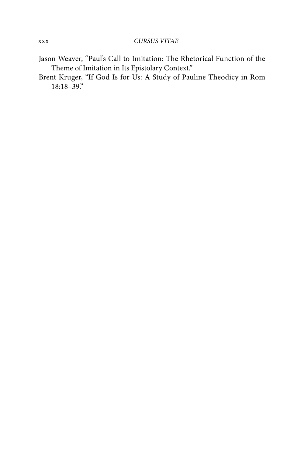- Jason Weaver, "Paul's Call to Imitation: The Rhetorical Function of the Theme of Imitation in Its Epistolary Context."
- Brent Kruger, "If God Is for Us: A Study of Pauline Theodicy in Rom  $18:18-39$ ."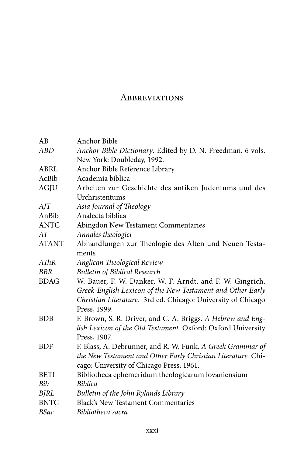## **ABBREVIATIONS**

| AB           | Anchor Bible                                                 |
|--------------|--------------------------------------------------------------|
| <b>ABD</b>   | Anchor Bible Dictionary. Edited by D. N. Freedman. 6 vols.   |
|              | New York: Doubleday, 1992.                                   |
| ABRL         | Anchor Bible Reference Library                               |
| AcBib        | Academia biblica                                             |
| AGJU         | Arbeiten zur Geschichte des antiken Judentums und des        |
|              | Urchristentums                                               |
| AJT          | Asia Journal of Theology                                     |
| AnBib        | Analecta biblica                                             |
| <b>ANTC</b>  | Abingdon New Testament Commentaries                          |
| АT           | Annales theologici                                           |
| <b>ATANT</b> | Abhandlungen zur Theologie des Alten und Neuen Testa-        |
|              | ments                                                        |
| AThR         | Anglican Theological Review                                  |
| <b>BBR</b>   | <b>Bulletin of Biblical Research</b>                         |
| <b>BDAG</b>  | W. Bauer, F. W. Danker, W. F. Arndt, and F. W. Gingrich.     |
|              | Greek-English Lexicon of the New Testament and Other Early   |
|              | Christian Literature. 3rd ed. Chicago: University of Chicago |
|              | Press, 1999.                                                 |
| <b>BDB</b>   | F. Brown, S. R. Driver, and C. A. Briggs. A Hebrew and Eng-  |
|              | lish Lexicon of the Old Testament. Oxford: Oxford University |
|              | Press, 1907.                                                 |
| <b>BDF</b>   | F. Blass, A. Debrunner, and R. W. Funk. A Greek Grammar of   |
|              | the New Testament and Other Early Christian Literature. Chi- |
|              | cago: University of Chicago Press, 1961.                     |
| <b>BETL</b>  | Bibliotheca ephemeridum theologicarum lovaniensium           |
| Bib          | Biblica                                                      |
| BJRL         | Bulletin of the John Rylands Library                         |
| <b>BNTC</b>  | <b>Black's New Testament Commentaries</b>                    |
| <b>BSac</b>  | Bibliotheca sacra                                            |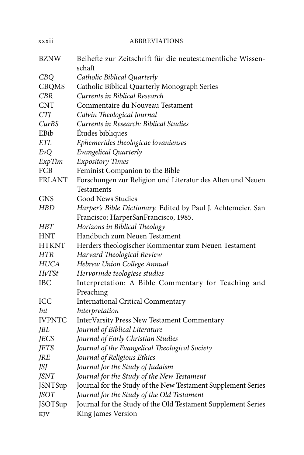| xxxii          | <b>ABBREVIATIONS</b>                                                 |
|----------------|----------------------------------------------------------------------|
| <b>BZNW</b>    | Beihefte zur Zeitschrift für die neutestamentliche Wissen-<br>schaft |
| CBQ            | Catholic Biblical Quarterly                                          |
| <b>CBQMS</b>   | Catholic Biblical Quarterly Monograph Series                         |
| <b>CBR</b>     | Currents in Biblical Research                                        |
| <b>CNT</b>     | Commentaire du Nouveau Testament                                     |
| <b>CTJ</b>     | Calvin Theological Journal                                           |
| CurBS          | Currents in Research: Biblical Studies                               |
| EBib           | Études bibliques                                                     |
| ETL            | Ephemerides theologicae lovanienses                                  |
| EvQ            | <b>Evangelical Quarterly</b>                                         |
| ExpTim         | <b>Expository Times</b>                                              |
| FCB            | Feminist Companion to the Bible                                      |
| <b>FRLANT</b>  | Forschungen zur Religion und Literatur des Alten und Neuen           |
|                | Testaments                                                           |
| <b>GNS</b>     | Good News Studies                                                    |
| HBD            | Harper's Bible Dictionary. Edited by Paul J. Achtemeier. San         |
|                | Francisco: HarperSanFrancisco, 1985.                                 |
| <b>HBT</b>     | Horizons in Biblical Theology                                        |
| <b>HNT</b>     | Handbuch zum Neuen Testament                                         |
| <b>HTKNT</b>   | Herders theologischer Kommentar zum Neuen Testament                  |
| <b>HTR</b>     | Harvard Theological Review                                           |
| <b>HUCA</b>    | Hebrew Union College Annual                                          |
| HvTSt          | Hervormde teologiese studies                                         |
| <b>IBC</b>     | Interpretation: A Bible Commentary for Teaching and                  |
|                | Preaching                                                            |
| ICC            | <b>International Critical Commentary</b>                             |
| Int            | Interpretation                                                       |
| <b>IVPNTC</b>  | <b>InterVarsity Press New Testament Commentary</b>                   |
| JBL            | Journal of Biblical Literature                                       |
| <b>JECS</b>    | Journal of Early Christian Studies                                   |
| <b>JETS</b>    | Journal of the Evangelical Theological Society                       |
| JRE            | Journal of Religious Ethics                                          |
| JSJ            | Journal for the Study of Judaism                                     |
| <b>JSNT</b>    | Journal for the Study of the New Testament                           |
| <b>JSNTSup</b> | Journal for the Study of the New Testament Supplement Series         |
| <b>JSOT</b>    | Journal for the Study of the Old Testament                           |
| <b>JSOTSup</b> | Journal for the Study of the Old Testament Supplement Series         |
| KJV            | King James Version                                                   |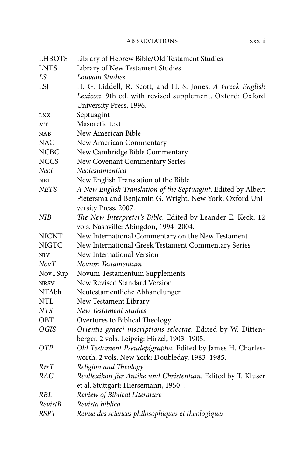## ABBREVIATIONS xxxiii

| <b>LHBOTS</b> | Library of Hebrew Bible/Old Testament Studies                 |
|---------------|---------------------------------------------------------------|
| <b>LNTS</b>   | Library of New Testament Studies                              |
| LS            | Louvain Studies                                               |
| LSJ           | H. G. Liddell, R. Scott, and H. S. Jones. A Greek-English     |
|               | Lexicon. 9th ed. with revised supplement. Oxford: Oxford      |
|               | University Press, 1996.                                       |
| LXX           | Septuagint                                                    |
| MT            | Masoretic text                                                |
| NAB           | New American Bible                                            |
| NAC           | New American Commentary                                       |
| <b>NCBC</b>   | New Cambridge Bible Commentary                                |
| <b>NCCS</b>   | New Covenant Commentary Series                                |
| Neot          | Neotestamentica                                               |
| <b>NET</b>    | New English Translation of the Bible                          |
| NETS          | A New English Translation of the Septuagint. Edited by Albert |
|               | Pietersma and Benjamin G. Wright. New York: Oxford Uni-       |
|               | versity Press, 2007.                                          |
| NIB           | The New Interpreter's Bible. Edited by Leander E. Keck. 12    |
|               | vols. Nashville: Abingdon, 1994-2004.                         |
| <b>NICNT</b>  | New International Commentary on the New Testament             |
| NIGTC         | New International Greek Testament Commentary Series           |
| <b>NIV</b>    | New International Version                                     |
| NovT          | Novum Testamentum                                             |
| NovTSup       | Novum Testamentum Supplements                                 |
| <b>NRSV</b>   | New Revised Standard Version                                  |
| <b>NTAbh</b>  | Neutestamentliche Abhandlungen                                |
| <b>NTL</b>    | New Testament Library                                         |
| <b>NTS</b>    | <b>New Testament Studies</b>                                  |
| OBT           | Overtures to Biblical Theology                                |
| OGIS          | Orientis graeci inscriptions selectae. Edited by W. Ditten-   |
|               | berger. 2 vols. Leipzig: Hirzel, 1903-1905.                   |
| OTP           | Old Testament Pseudepigrapha. Edited by James H. Charles-     |
|               | worth. 2 vols. New York: Doubleday, 1983-1985.                |
| R&T           | Religion and Theology                                         |
| <b>RAC</b>    | Reallexikon für Antike und Christentum. Edited by T. Kluser   |
|               | et al. Stuttgart: Hiersemann, 1950-.                          |
| RBL           | Review of Biblical Literature                                 |
| RevistB       | Revista biblica                                               |
| <b>RSPT</b>   | Revue des sciences philosophiques et théologiques             |
|               |                                                               |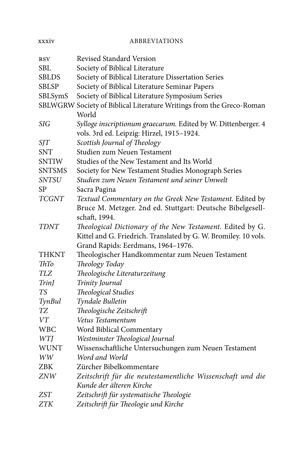xxxiv ABBREVIATIONS

| <b>RSV</b>    | Revised Standard Version                                             |
|---------------|----------------------------------------------------------------------|
| SBL           | Society of Biblical Literature                                       |
| <b>SBLDS</b>  | Society of Biblical Literature Dissertation Series                   |
| <b>SBLSP</b>  | Society of Biblical Literature Seminar Papers                        |
| SBLSymS       | Society of Biblical Literature Symposium Series                      |
|               | SBLWGRW Society of Biblical Literature Writings from the Greco-Roman |
|               | World                                                                |
| SIG           | Sylloge inscriptionum graecarum. Edited by W. Dittenberger. 4        |
|               | vols. 3rd ed. Leipzig: Hirzel, 1915-1924.                            |
| SJT           | Scottish Journal of Theology                                         |
| <b>SNT</b>    | Studien zum Neuen Testament                                          |
| <b>SNTIW</b>  | Studies of the New Testament and Its World                           |
| <b>SNTSMS</b> | Society for New Testament Studies Monograph Series                   |
| <b>SNTSU</b>  | Studien zum Neuen Testament und seiner Umwelt                        |
| SP            | Sacra Pagina                                                         |
| <b>TCGNT</b>  | Textual Commentary on the Greek New Testament. Edited by             |
|               | Bruce M. Metzger. 2nd ed. Stuttgart: Deutsche Bibelgesell-           |
|               | schaft, 1994.                                                        |
| <b>TDNT</b>   | Theological Dictionary of the New Testament. Edited by G.            |
|               | Kittel and G. Friedrich. Translated by G. W. Bromiley. 10 vols.      |
|               | Grand Rapids: Eerdmans, 1964-1976.                                   |
| <b>THKNT</b>  | Theologischer Handkommentar zum Neuen Testament                      |
| ThTo          | Theology Today                                                       |
| <b>TLZ</b>    | Theologische Literaturzeitung                                        |
| <b>TrinJ</b>  | Trinity Journal                                                      |
| ТS            | Theological Studies                                                  |
| TynBul        | Tyndale Bulletin                                                     |
| TΖ            | Theologische Zeitschrift                                             |
| VT            | Vetus Testamentum                                                    |
| <b>WBC</b>    | Word Biblical Commentary                                             |
| <b>WTJ</b>    | Westminster Theological Journal                                      |
| <b>WUNT</b>   | Wissenschaftliche Untersuchungen zum Neuen Testament                 |
| WW            | Word and World                                                       |
| <b>ZBK</b>    | Zürcher Bibelkommentare                                              |
| <b>ZNW</b>    | Zeitschrift für die neutestamentliche Wissenschaft und die           |
|               | Kunde der älteren Kirche                                             |
| ZST           | Zeitschrift für systematische Theologie                              |
| <b>ZTK</b>    | Zeitschrift für Theologie und Kirche                                 |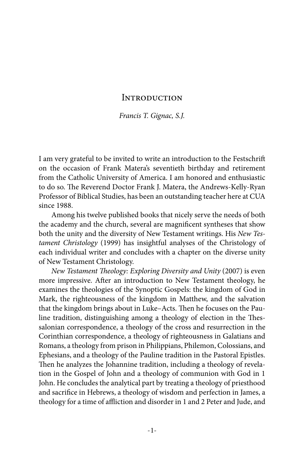## **INTRODUCTION**

*Francis T. Gignac, S.J.*

I am very grateful to be invited to write an introduction to the Festschrift on the occasion of Frank Matera's seventieth birthday and retirement from the Catholic University of America. I am honored and enthusiastic to do so. The Reverend Doctor Frank J. Matera, the Andrews-Kelly-Ryan Professor of Biblical Studies, has been an outstanding teacher here at CUA since 1988.

Among his twelve published books that nicely serve the needs of both the academy and the church, several are magnificent syntheses that show both the unity and the diversity of New Testament writings. His *New Testament Christology* (1999) has insightful analyses of the Christology of each individual writer and concludes with a chapter on the diverse unity of New Testament Christology.

*New Testament Theology: Exploring Diversity and Unity* (2007) is even more impressive. After an introduction to New Testament theology, he examines the theologies of the Synoptic Gospels: the kingdom of God in Mark, the righteousness of the kingdom in Matthew, and the salvation that the kingdom brings about in Luke–Acts. Then he focuses on the Pauline tradition, distinguishing among a theology of election in the Thessalonian correspondence, a theology of the cross and resurrection in the Corinthian correspondence, a theology of righteousness in Galatians and Romans, a theology from prison in Philippians, Philemon, Colossians, and Ephesians, and a theology of the Pauline tradition in the Pastoral Epistles. Then he analyzes the Johannine tradition, including a theology of revelation in the Gospel of John and a theology of communion with God in 1 John. He concludes the analytical part by treating a theology of priesthood and sacrifice in Hebrews, a theology of wisdom and perfection in James, a theology for a time of affliction and disorder in 1 and 2 Peter and Jude, and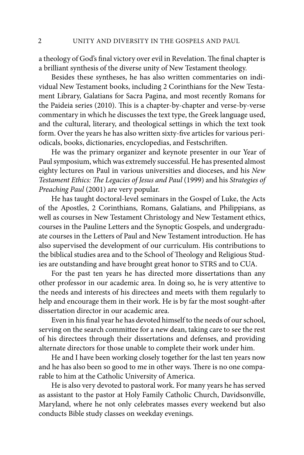a theology of God's final victory over evil in Revelation. The final chapter is a brilliant synthesis of the diverse unity of New Testament theology.

Besides these syntheses, he has also written commentaries on individual New Testament books, including 2 Corinthians for the New Testament Library, Galatians for Sacra Pagina, and most recently Romans for the Paideia series (2010). This is a chapter-by-chapter and verse-by-verse commentary in which he discusses the text type, the Greek language used, and the cultural, literary, and theological settings in which the text took form. Over the years he has also written sixty-five articles for various periodicals, books, dictionaries, encyclopedias, and Festschriften.

He was the primary organizer and keynote presenter in our Year of Paul symposium, which was extremely successful. He has presented almost eighty lectures on Paul in various universities and dioceses, and his *New Testament Ethics: The Legacies of Jesus and Paul* (1999) and his *Strategies of Preaching Paul* (2001) are very popular.

He has taught doctoral-level seminars in the Gospel of Luke, the Acts of the Apostles, 2 Corinthians, Romans, Galatians, and Philippians, as well as courses in New Testament Christology and New Testament ethics, courses in the Pauline Letters and the Synoptic Gospels, and undergraduate courses in the Letters of Paul and New Testament introduction. He has also supervised the development of our curriculum. His contributions to the biblical studies area and to the School of Theology and Religious Studies are outstanding and have brought great honor to STRS and to CUA.

For the past ten years he has directed more dissertations than any other professor in our academic area. In doing so, he is very attentive to the needs and interests of his directees and meets with them regularly to help and encourage them in their work. He is by far the most sought-after dissertation director in our academic area.

Even in his final year he has devoted himself to the needs of our school, serving on the search committee for a new dean, taking care to see the rest of his directees through their dissertations and defenses, and providing alternate directors for those unable to complete their work under him.

He and I have been working closely together for the last ten years now and he has also been so good to me in other ways. There is no one comparable to him at the Catholic University of America.

He is also very devoted to pastoral work. For many years he has served as assistant to the pastor at Holy Family Catholic Church, Davidsonville, Maryland, where he not only celebrates masses every weekend but also conducts Bible study classes on weekday evenings.